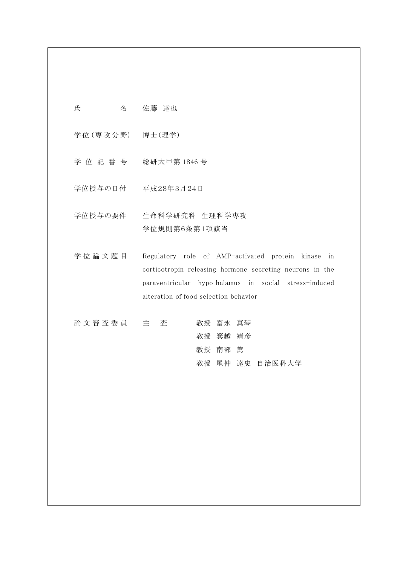氏 名 佐藤 達也

学位 (専攻分野) 博士 (理学)

- 学 位 記 番 号 総研大甲第 1846 号
- 学位授与の日付 平成28年3月24日
- 学位授与の要件 生命科学研究科 生理科学専攻 学位規則第6条第1項該当
- 学 位 論 文 題 目 Regulatory role of AMP-activated protein kinase in corticotropin releasing hormone secreting neurons in the paraventricular hypothalamus in social stress-induced alteration of food selection behavior

| 論文審査委員 主 査 |  |  | 教授 富永 真琴 |                 |
|------------|--|--|----------|-----------------|
|            |  |  | 教授 箕越 靖彦 |                 |
|            |  |  | 教授 南部 篤  |                 |
|            |  |  |          | 教授 尾仲 達史 自治医科大学 |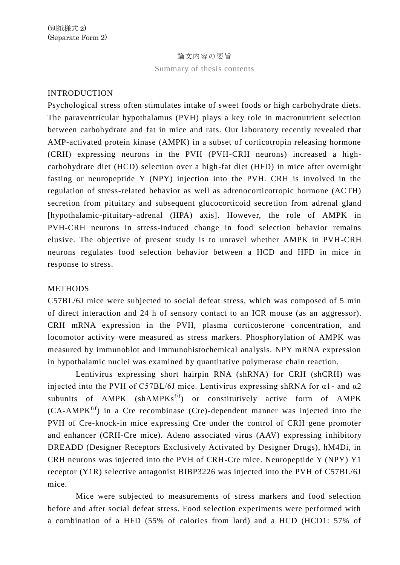#### 論文内容の要旨

Summary of thesis contents

### INTRODUCTION

Psychological stress often stimulates intake of sweet foods or high carbohydrate diets. The paraventricular hypothalamus (PVH) plays a key role in macronutrient selection between carbohydrate and fat in mice and rats. Our laboratory recently revealed that AMP-activated protein kinase (AMPK) in a subset of corticotropin releasing hormone (CRH) expressing neurons in the PVH (PVH-CRH neurons) increased a highcarbohydrate diet (HCD) selection over a high-fat diet (HFD) in mice after overnight fasting or neuropeptide Y (NPY) injection into the PVH. CRH is involved in the regulation of stress-related behavior as well as adrenocorticotropic hormone (ACTH) secretion from pituitary and subsequent glucocorticoid secretion from adrenal gland [hypothalamic-pituitary-adrenal (HPA) axis]. However, the role of AMPK in PVH-CRH neurons in stress-induced change in food selection behavior remains elusive. The objective of present study is to unravel whether AMPK in PVH-CRH neurons regulates food selection behavior between a HCD and HFD in mice in response to stress.

#### METHODS

C57BL/6J mice were subjected to social defeat stress, which was composed of 5 min of direct interaction and 24 h of sensory contact to an ICR mouse (as an aggressor). CRH mRNA expression in the PVH, plasma corticosterone concentration, and locomotor activity were measured as stress markers. Phosphorylation of AMPK was measured by immunoblot and immunohistochemical analysis. NPY mRNA expression in hypothalamic nuclei was examined by quantitative polymerase chain reaction.

Lentivirus expressing short hairpin RNA (shRNA) for CRH (shCRH) was injected into the PVH of C57BL/6J mice. Lentivirus expressing shRNA for  $\alpha$ 1 - and  $\alpha$ 2 subunits of  $AMPK (shAMPKs<sup>f/f</sup>)$  or constitutively active form of  $AMPK$  $(CA-AMPK<sup>f/f</sup>)$  in a Cre recombinase  $(Cre)$ -dependent manner was injected into the PVH of Cre-knock-in mice expressing Cre under the control of CRH gene promoter and enhancer (CRH-Cre mice). Adeno associated virus (AAV) expressing inhibitory DREADD (Designer Receptors Exclusively Activated by Designer Drugs), hM4Di, in CRH neurons was injected into the PVH of CRH-Cre mice. Neuropeptide Y (NPY) Y1 receptor (Y1R) selective antagonist BIBP3226 was injected into the PVH of C57BL/6J mice.

Mice were subjected to measurements of stress markers and food selection before and after social defeat stress. Food selection experiments were performed with a combination of a HFD (55% of calories from lard) and a HCD (HCD1: 57% of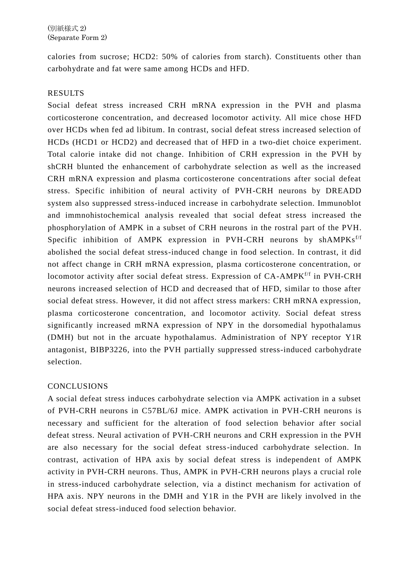calories from sucrose; HCD2: 50% of calories from starch). Constituents other than carbohydrate and fat were same among HCDs and HFD.

# RESULTS

Social defeat stress increased CRH mRNA expression in the PVH and plasma corticosterone concentration, and decreased locomotor activity. All mice chose HFD over HCDs when fed ad libitum. In contrast, social defeat stress increased selection of HCDs (HCD1 or HCD2) and decreased that of HFD in a two-diet choice experiment. Total calorie intake did not change. Inhibition of CRH expression in the PVH by shCRH blunted the enhancement of carbohydrate selection as well as the increased CRH mRNA expression and plasma corticosterone concentrations after social defeat stress. Specific inhibition of neural activity of PVH-CRH neurons by DREADD system also suppressed stress-induced increase in carbohydrate selection. Immunoblot and immnohistochemical analysis revealed that social defeat stress increased the phosphorylation of AMPK in a subset of CRH neurons in the rostral part of the PVH. Specific inhibition of AMPK expression in PVH-CRH neurons by shAMPK $s^{f/f}$ abolished the social defeat stress-induced change in food selection. In contrast, it did not affect change in CRH mRNA expression, plasma corticosterone concentration, or locomotor activity after social defeat stress. Expression of CA-AMPK<sup>f/f</sup> in PVH-CRH neurons increased selection of HCD and decreased that of HFD, similar to those after social defeat stress. However, it did not affect stress markers: CRH mRNA expression, plasma corticosterone concentration, and locomotor activity. Social defeat stress significantly increased mRNA expression of NPY in the dorsomedial hypothalamus (DMH) but not in the arcuate hypothalamus. Administration of NPY receptor Y1R antagonist, BIBP3226, into the PVH partially suppressed stress-induced carbohydrate selection.

# CONCLUSIONS

A social defeat stress induces carbohydrate selection via AMPK activation in a subset of PVH-CRH neurons in C57BL/6J mice. AMPK activation in PVH-CRH neurons is necessary and sufficient for the alteration of food selection behavior after social defeat stress. Neural activation of PVH-CRH neurons and CRH expression in the PVH are also necessary for the social defeat stress-induced carbohydrate selection. In contrast, activation of HPA axis by social defeat stress is independent of AMPK activity in PVH-CRH neurons. Thus, AMPK in PVH-CRH neurons plays a crucial role in stress-induced carbohydrate selection, via a distinct mechanism for activation of HPA axis. NPY neurons in the DMH and Y1R in the PVH are likely involved in the social defeat stress-induced food selection behavior.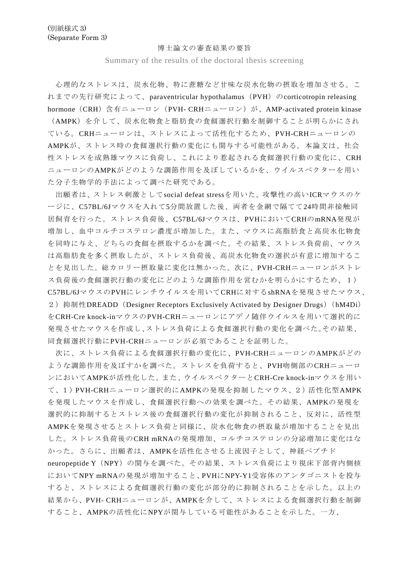#### 博士論文の審査結果の要旨

Summary of the results of the doctoral thesis screening

心理的なストレスは、炭水化物、特に蔗糖など甘味な炭水化物の摂取を増加させる。こ れまでの先行研究によって、paraventricular hypothalamus (PVH) のcorticotropin releasing hormone (CRH) 含有ニューロン (PVH- CRHニューロン) が、AMP-activated protein kinase (AMPK)を介して、炭水化物食と脂肪食の食餌選択行動を制御することが明らかにされ ている。CRHニューロンは、ストレスによって活性化するため、PVH-CRHニューロンの AMPKが、ストレス時の食餌選択行動の変化にも関与する可能性がある。本論文は、社会 性ストレスを成熟雄マウスに負荷し、これにより惹起される食餌選択行動の変化に、CRH ニューロンのAMPKがどのような調節作用を及ぼしているかを、ウイルスベクターを用い た分子生物学的手法によって調べた研究である。

出願者は、ストレス刺激としてsocial defeat stressを用いた。攻撃性の高いICRマウスのケ ージに、C57BL/6Jマウスを入れて5分間放置した後、両者を金網で隔てて24時間非接触同 居飼育を行った。ストレス負荷後、C57BL/6Jマウスは、PVHにおいてCRHのmRNA発現が 増加し、血中コルチコステロン濃度が増加した。また、マウスに高脂肪食と高炭水化物食 を同時に与え、どちらの食餌を摂取するかを調べた。その結果、ストレス負荷前、マウス は高脂肪食を多く摂取したが、ストレス負荷後、高炭水化物食の選択が有意に増加するこ とを見出した。総カロリー摂取量に変化は無かった。次に、PVH-CRHニューロンがストレ ス負荷後の食餌選択行動の変化にどのような調節作用を営むかを明らかにするため、1) C57BL/6JマウスのPVHにレンチウイルスを用いてCRHに対するshRNAを発現させたマウス、 2) 抑制性DREADD (Designer Receptors Exclusively Activated by Designer Drugs) (hM4Di) をCRH-Cre knock-inマウスのPVH-CRHニューロンにアデノ随伴ウイルスを用いて選択的に 発現させたマウスを作成し、ストレス負荷による食餌選択行動の変化を調べた。その結果、 同食餌選択行動にPVH-CRHニューロンが必須であることを証明した。

次に、ストレス負荷による食餌選択行動の変化に、PVH-CRHニューロンのAMPKがどの ような調節作用を及ぼすかを調べた。ストレスを負荷すると、PVH吻側部のCRHニューロ ンにおいてAMPKが活性化した。また、ウイルスベクターとCRH-Cre knock-inマウスを用い て、1)PVH-CRHニューロン選択的にAMPKの発現を抑制したマウス、2)活性化型AMPK を発現したマウスを作成し、食餌選択行動への効果を調べた。その結果、AMPKの発現を 選択的に抑制するとストレス後の食餌選択行動の変化が抑制されること、反対に、活性型 AMPKを発現させるとストレス負荷と同様に、炭水化物食の摂取量が増加することを見出 した。ストレス負荷後のCRH mRNAの発現増加、コルチコステロンの分泌増加に変化はな かった。さらに、出願者は、AMPKを活性化させる上流因子として、神経ペプチド neuropeptide Y(NPY)の関与を調べた。その結果、ストレス負荷により視床下部背内側核 においてNPY mRNAの発現が増加すること、PVHにNPY-Y1受容体のアンタゴニストを投与 すると、ストレスによる食餌選択行動の変化が部分的に抑制されることを示した。以上の 結果から、PVH- CRHニューロンが、AMPKを介して、ストレスによる食餌選択行動を制御 すること、AMPKの活性化にNPYが関与している可能性があることを示した。一方、